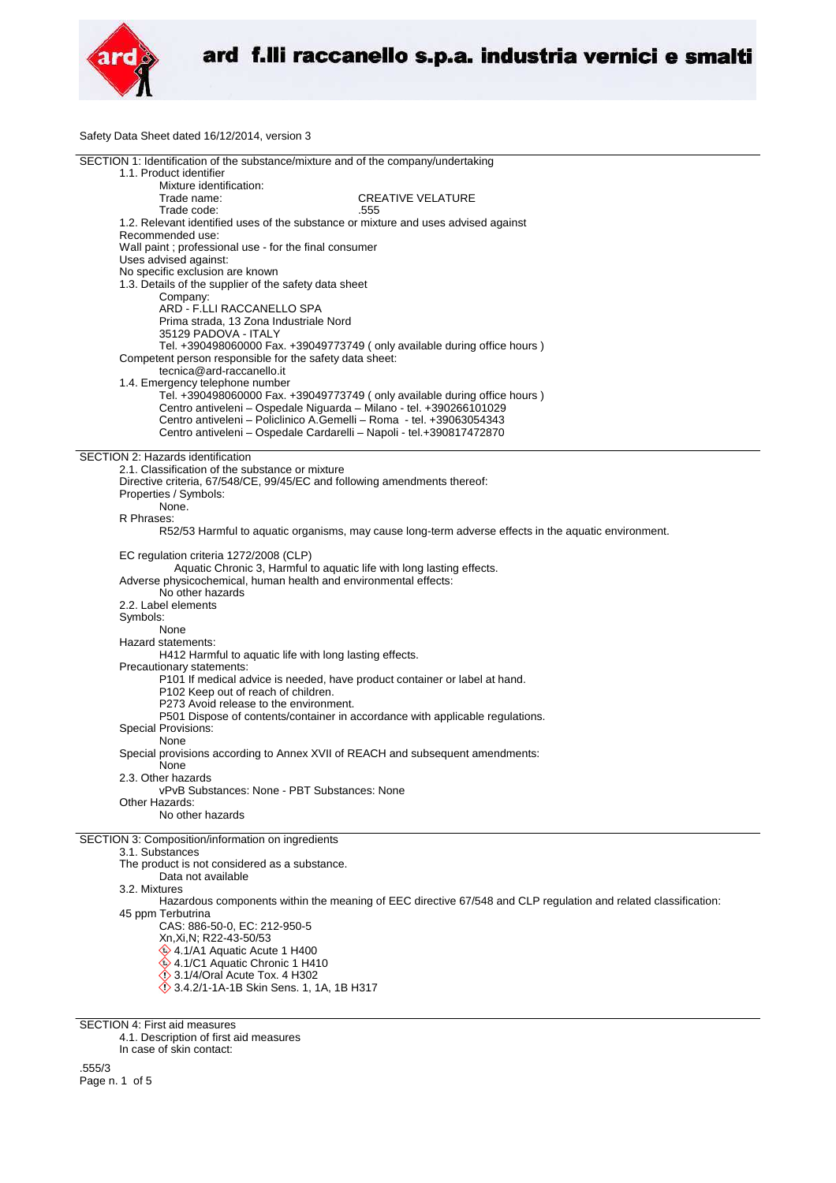

Safety Data Sheet dated 16/12/2014, version 3

| SECTION 1: Identification of the substance/mixture and of the company/undertaking                              |  |
|----------------------------------------------------------------------------------------------------------------|--|
| 1.1. Product identifier                                                                                        |  |
| Mixture identification:                                                                                        |  |
| Trade name:<br><b>CREATIVE VELATURE</b>                                                                        |  |
| Trade code:<br>.555                                                                                            |  |
| 1.2. Relevant identified uses of the substance or mixture and uses advised against                             |  |
| Recommended use:                                                                                               |  |
|                                                                                                                |  |
| Wall paint ; professional use - for the final consumer                                                         |  |
| Uses advised against:                                                                                          |  |
| No specific exclusion are known                                                                                |  |
| 1.3. Details of the supplier of the safety data sheet                                                          |  |
| Company:                                                                                                       |  |
| ARD - F.LLI RACCANELLO SPA                                                                                     |  |
| Prima strada, 13 Zona Industriale Nord                                                                         |  |
| 35129 PADOVA - ITALY                                                                                           |  |
| Tel. +390498060000 Fax. +39049773749 (only available during office hours)                                      |  |
| Competent person responsible for the safety data sheet:                                                        |  |
| tecnica@ard-raccanello.it                                                                                      |  |
| 1.4. Emergency telephone number                                                                                |  |
| Tel. +390498060000 Fax. +39049773749 (only available during office hours)                                      |  |
| Centro antiveleni - Ospedale Niguarda - Milano - tel. +390266101029                                            |  |
| Centro antiveleni - Policlinico A.Gemelli - Roma - tel. +39063054343                                           |  |
|                                                                                                                |  |
| Centro antiveleni - Ospedale Cardarelli - Napoli - tel.+390817472870                                           |  |
| SECTION 2: Hazards identification                                                                              |  |
|                                                                                                                |  |
| 2.1. Classification of the substance or mixture                                                                |  |
| Directive criteria, 67/548/CE, 99/45/EC and following amendments thereof:                                      |  |
| Properties / Symbols:                                                                                          |  |
| None.                                                                                                          |  |
| R Phrases:                                                                                                     |  |
| R52/53 Harmful to aquatic organisms, may cause long-term adverse effects in the aquatic environment.           |  |
|                                                                                                                |  |
| EC regulation criteria 1272/2008 (CLP)                                                                         |  |
| Aquatic Chronic 3, Harmful to aquatic life with long lasting effects.                                          |  |
| Adverse physicochemical, human health and environmental effects:                                               |  |
| No other hazards                                                                                               |  |
| 2.2. Label elements                                                                                            |  |
| Symbols:                                                                                                       |  |
|                                                                                                                |  |
| None                                                                                                           |  |
| Hazard statements:                                                                                             |  |
| H412 Harmful to aquatic life with long lasting effects.                                                        |  |
| Precautionary statements:                                                                                      |  |
| P101 If medical advice is needed, have product container or label at hand.                                     |  |
| P102 Keep out of reach of children.                                                                            |  |
| P273 Avoid release to the environment.                                                                         |  |
| P501 Dispose of contents/container in accordance with applicable regulations.                                  |  |
| Special Provisions:                                                                                            |  |
| None                                                                                                           |  |
| Special provisions according to Annex XVII of REACH and subsequent amendments:                                 |  |
| None                                                                                                           |  |
| 2.3. Other hazards                                                                                             |  |
| vPvB Substances: None - PBT Substances: None                                                                   |  |
| Other Hazards:                                                                                                 |  |
| No other hazards                                                                                               |  |
|                                                                                                                |  |
| SECTION 3: Composition/information on ingredients                                                              |  |
| 3.1. Substances                                                                                                |  |
| The product is not considered as a substance.                                                                  |  |
|                                                                                                                |  |
| Data not available                                                                                             |  |
| 3.2. Mixtures                                                                                                  |  |
| Hazardous components within the meaning of EEC directive 67/548 and CLP regulation and related classification: |  |
| 45 ppm Terbutrina                                                                                              |  |
| CAS: 886-50-0, EC: 212-950-5                                                                                   |  |
| Xn, Xi, N; R22-43-50/53                                                                                        |  |
| $\quad$ 4.1/A1 Aquatic Acute 1 H400                                                                            |  |
| 4.1/C1 Aquatic Chronic 1 H410                                                                                  |  |
| <b>◯ 3.1/4/Oral Acute Tox. 4 H302</b>                                                                          |  |
| <b>◯ 3.4.2/1-1A-1B Skin Sens. 1, 1A, 1B H317</b>                                                               |  |
|                                                                                                                |  |

SECTION 4: First aid measures 4.1. Description of first aid measures

In case of skin contact:

.555/3 Page n. 1 of 5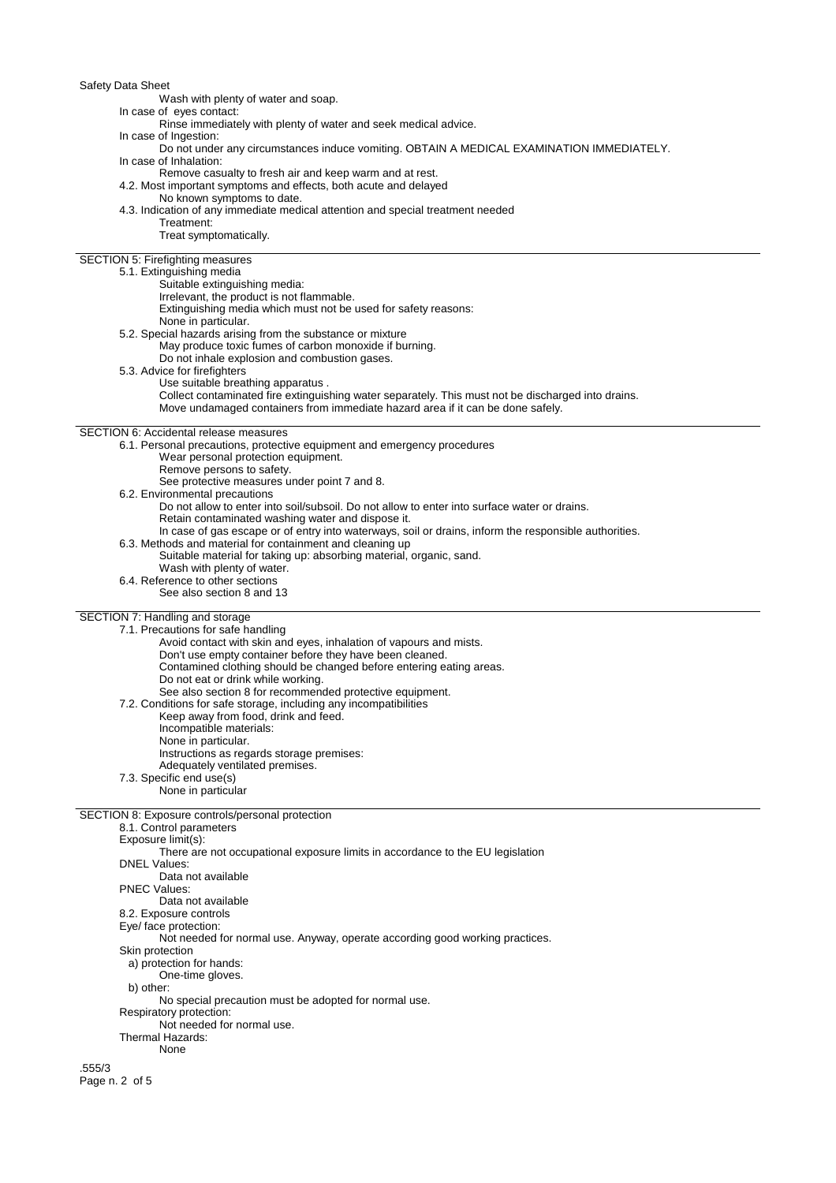Safety Data Sheet

Wash with plenty of water and soap.

In case of eyes contact:

Rinse immediately with plenty of water and seek medical advice.

In case of Ingestion:

Do not under any circumstances induce vomiting. OBTAIN A MEDICAL EXAMINATION IMMEDIATELY.

In case of Inhalation:

Remove casualty to fresh air and keep warm and at rest. 4.2. Most important symptoms and effects, both acute and delayed

No known symptoms to date.

4.3. Indication of any immediate medical attention and special treatment needed

Treatment:

Treat symptomatically.

SECTION 5: Firefighting measures

### 5.1. Extinguishing media

- Suitable extinguishing media:
- Irrelevant, the product is not flammable.

Extinguishing media which must not be used for safety reasons:

None in particular.

5.2. Special hazards arising from the substance or mixture

May produce toxic fumes of carbon monoxide if burning.

Do not inhale explosion and combustion gases.

- 5.3. Advice for firefighters
	- Use suitable breathing apparatus .

Collect contaminated fire extinguishing water separately. This must not be discharged into drains.

Move undamaged containers from immediate hazard area if it can be done safely.

SECTION 6: Accidental release measures

6.1. Personal precautions, protective equipment and emergency procedures

- Wear personal protection equipment.
	- Remove persons to safety.

See protective measures under point 7 and 8.

6.2. Environmental precautions

Do not allow to enter into soil/subsoil. Do not allow to enter into surface water or drains.

Retain contaminated washing water and dispose it.

- In case of gas escape or of entry into waterways, soil or drains, inform the responsible authorities.
- 6.3. Methods and material for containment and cleaning up
	- Suitable material for taking up: absorbing material, organic, sand.
	- Wash with plenty of water.
- 6.4. Reference to other sections
	- See also section 8 and 13

### SECTION 7: Handling and storage

7.1. Precautions for safe handling

Avoid contact with skin and eyes, inhalation of vapours and mists.

- Don't use empty container before they have been cleaned.
- Contamined clothing should be changed before entering eating areas.
- Do not eat or drink while working.

See also section 8 for recommended protective equipment.

7.2. Conditions for safe storage, including any incompatibilities

- Keep away from food, drink and feed.
- Incompatible materials: None in particular.
	- Instructions as regards storage premises:
	- Adequately ventilated premises.
- 7.3. Specific end use(s)
	- None in particular

# SECTION 8: Exposure controls/personal protection

8.1. Control parameters Exposure limit(s): There are not occupational exposure limits in accordance to the EU legislation DNEL Values: Data not available PNEC Values: Data not available 8.2. Exposure controls Eye/ face protection: Not needed for normal use. Anyway, operate according good working practices. Skin protection a) protection for hands: One-time gloves. b) other: No special precaution must be adopted for normal use. Respiratory protection: Not needed for normal use. Thermal Hazards: None

.555/3 Page n. 2 of 5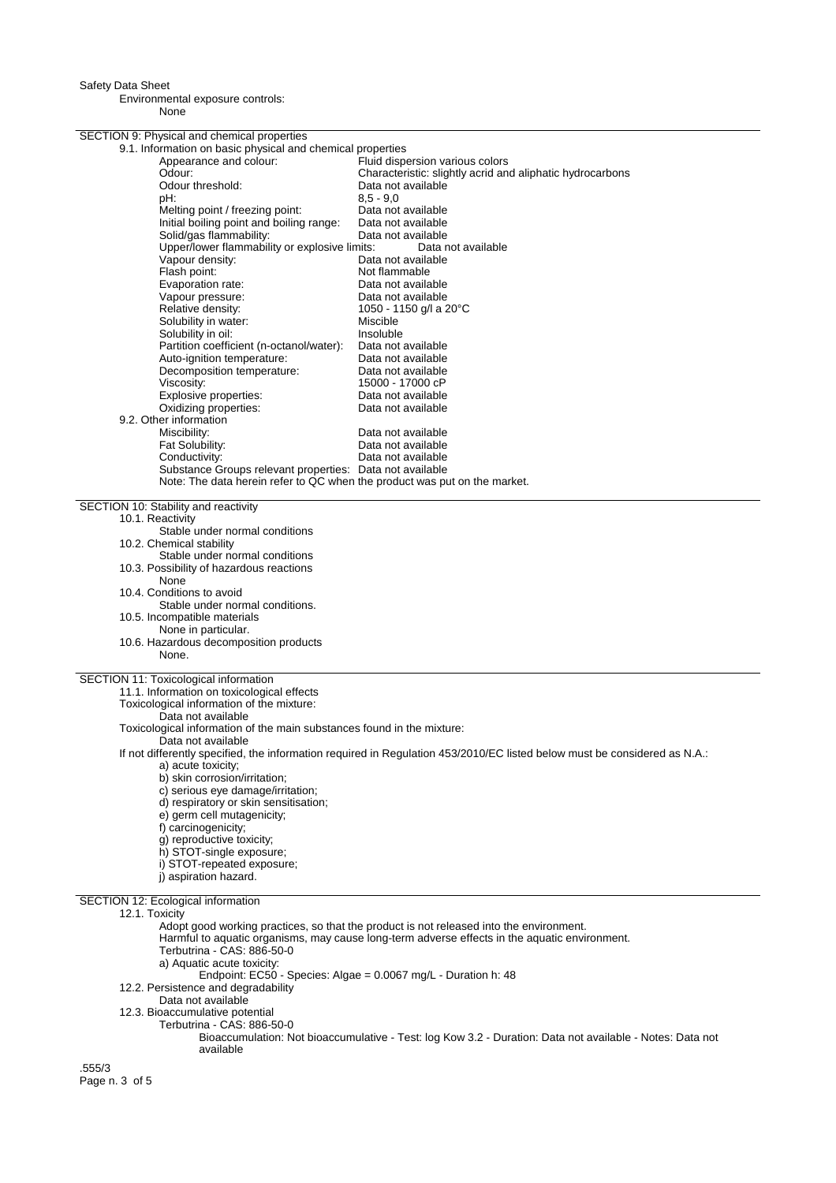Safety Data Sheet

Environmental exposure controls: None

SECTION 9: Physical and chemical properties 9.1. Information on basic physical and chemical properties Appearance and colour: Fluid dispersion various colors<br>Odour: Characteristic: slightly acrid and Odour:<br>
Characteristic: slightly acrid and aliphatic hydrocarbons<br>
Odour threshold: Characteristic: aliable Data not available<br>8.5 - 9.0 pH: 8,5 - 9,0 Melting point / freezing point: Data not available Initial boiling point and boiling range: Data not available Solid/gas flammability: Upper/lower flammability or explosive limits: Data not available<br>Vapour density: Data not available Vapour density:<br>
Flash point:<br>
Flash point:<br>
Dot flammable Flash point:<br>
Evaporation rate:<br>
Evaporation rate:<br>
Data not availa Data not available Vapour pressure: Data not available Relative density: 1050 - 1150 g/l a 20°C<br>Solubility in water: 1050 - Miscible Solubility in water: Solubility in oil: Insoluble Insoluble<br>Partition coefficient (n-octanol/water): Data not available Partition coefficient (n-octanol/water): Data not available Auto-ignition temperature: Decomposition temperature: Data not available<br>Viscosity: 15000 - 17000 cP 15000 - 17000 cP<br>Data not available Explosive properties:<br>
Oxidizing properties:<br>
Oxidizing properties:<br>
Data not available Oxidizing properties: 9.2. Other information Miscibility: **Data not available**<br>
Fat Solubility: **Data not available** Fat Solubility:<br>
Conductivity: Conductivity: Data not available Data not available Substance Groups relevant properties: Data not available Note: The data herein refer to QC when the product was put on the market. SECTION 10: Stability and reactivity 10.1. Reactivity Stable under normal conditions 10.2. Chemical stability Stable under normal conditions 10.3. Possibility of hazardous reactions None 10.4. Conditions to avoid Stable under normal conditions. 10.5. Incompatible materials None in particular. 10.6. Hazardous decomposition products None. SECTION 11: Toxicological information 11.1. Information on toxicological effects Toxicological information of the mixture: Data not available Toxicological information of the main substances found in the mixture: Data not available If not differently specified, the information required in Regulation 453/2010/EC listed below must be considered as N.A.: a) acute toxicity; b) skin corrosion/irritation; c) serious eye damage/irritation; d) respiratory or skin sensitisation; e) germ cell mutagenicity; f) carcinogenicity; g) reproductive toxicity; h) STOT-single exposure; i) STOT-repeated exposure; j) aspiration hazard. SECTION 12: Ecological information 12.1. Toxicity Adopt good working practices, so that the product is not released into the environment. Harmful to aquatic organisms, may cause long-term adverse effects in the aquatic environment. Terbutrina - CAS: 886-50-0 a) Aquatic acute toxicity: Endpoint: EC50 - Species: Algae = 0.0067 mg/L - Duration h: 48 12.2. Persistence and degradability Data not available 12.3. Bioaccumulative potential Terbutrina - CAS: 886-50-0 Bioaccumulation: Not bioaccumulative - Test: log Kow 3.2 - Duration: Data not available - Notes: Data not available

.555/3 Page n. 3 of 5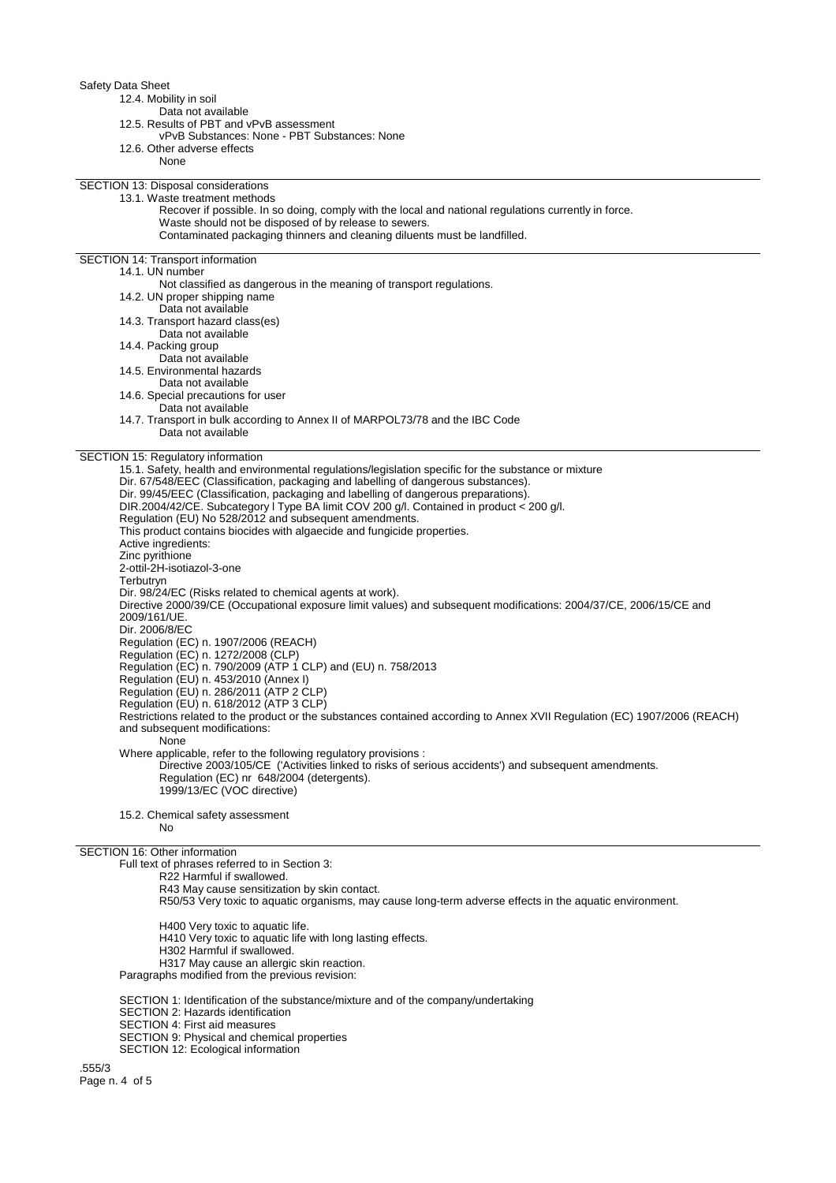## Safety Data Sheet

- 12.4. Mobility in soil
	- Data not available
- 12.5. Results of PBT and vPvB assessment
- vPvB Substances: None PBT Substances: None
- 12.6. Other adverse effects
	- None

SECTION 13: Disposal considerations 13.1. Waste treatment methods

> Recover if possible. In so doing, comply with the local and national regulations currently in force. Waste should not be disposed of by release to sewers.

Contaminated packaging thinners and cleaning diluents must be landfilled.

SECTION 14: Transport information

# 14.1. UN number

Not classified as dangerous in the meaning of transport regulations.

- 14.2. UN proper shipping name
- Data not available
- 14.3. Transport hazard class(es) Data not available
- 14.4. Packing group
- 
- Data not available 14.5. Environmental hazards
- Data not available
- 14.6. Special precautions for user
- 
- Data not available
- 14.7. Transport in bulk according to Annex II of MARPOL73/78 and the IBC Code Data not available

# SECTION 15: Regulatory information

15.1. Safety, health and environmental regulations/legislation specific for the substance or mixture Dir. 67/548/EEC (Classification, packaging and labelling of dangerous substances). Dir. 99/45/EEC (Classification, packaging and labelling of dangerous preparations). DIR.2004/42/CE. Subcategory l Type BA limit COV 200 g/l. Contained in product < 200 g/l. Regulation (EU) No 528/2012 and subsequent amendments. This product contains biocides with algaecide and fungicide properties. Active ingredients: Zinc pyrithione 2-ottil-2H-isotiazol-3-one Terbutryn Dir. 98/24/EC (Risks related to chemical agents at work). Directive 2000/39/CE (Occupational exposure limit values) and subsequent modifications: 2004/37/CE, 2006/15/CE and 2009/161/UE. Dir. 2006/8/EC Regulation (EC) n. 1907/2006 (REACH) Regulation (EC) n. 1272/2008 (CLP) Regulation (EC) n. 790/2009 (ATP 1 CLP) and (EU) n. 758/2013 Regulation (EU) n. 453/2010 (Annex I) Regulation (EU) n. 286/2011 (ATP 2 CLP) Regulation (EU) n. 618/2012 (ATP 3 CLP) Restrictions related to the product or the substances contained according to Annex XVII Regulation (EC) 1907/2006 (REACH) and subsequent modifications: None Where applicable, refer to the following regulatory provisions : Directive 2003/105/CE ('Activities linked to risks of serious accidents') and subsequent amendments. Regulation (EC) nr 648/2004 (detergents). 1999/13/EC (VOC directive)

15.2. Chemical safety assessment

No

### SECTION 16: Other information

Full text of phrases referred to in Section 3:

- R22 Harmful if swallowed.
- R43 May cause sensitization by skin contact.
- R50/53 Very toxic to aquatic organisms, may cause long-term adverse effects in the aquatic environment.
- H400 Very toxic to aquatic life.
- H410 Very toxic to aquatic life with long lasting effects.
- H302 Harmful if swallowed.
- H317 May cause an allergic skin reaction.
- Paragraphs modified from the previous revision:
- SECTION 1: Identification of the substance/mixture and of the company/undertaking
- SECTION 2: Hazards identification
- SECTION 4: First aid measures
- SECTION 9: Physical and chemical properties
- SECTION 12: Ecological information

.555/3 Page n. 4 of 5